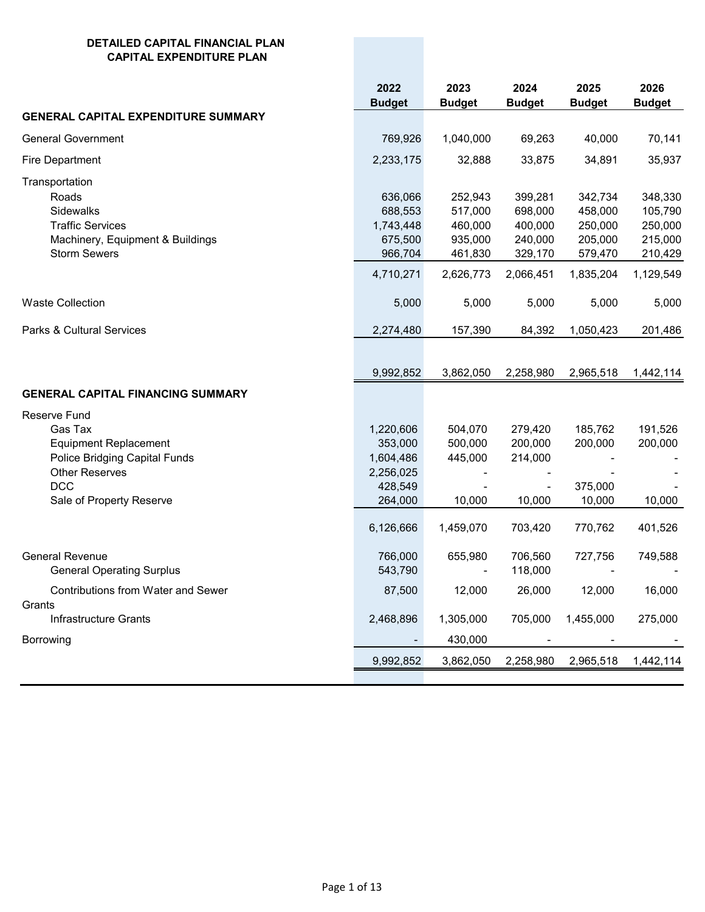## **DETAILED CAPITAL FINANCIAL PLAN CAPITAL EXPENDITURE PLAN**

|                                                                                                                                                    | 2022<br><b>Budget</b>                                                             | 2023<br><b>Budget</b>                                            | 2024<br><b>Budget</b>                                            | 2025<br><b>Budget</b>                                            | 2026<br><b>Budget</b>                                            |
|----------------------------------------------------------------------------------------------------------------------------------------------------|-----------------------------------------------------------------------------------|------------------------------------------------------------------|------------------------------------------------------------------|------------------------------------------------------------------|------------------------------------------------------------------|
| <b>GENERAL CAPITAL EXPENDITURE SUMMARY</b>                                                                                                         |                                                                                   |                                                                  |                                                                  |                                                                  |                                                                  |
| <b>General Government</b>                                                                                                                          | 769,926                                                                           | 1,040,000                                                        | 69,263                                                           | 40,000                                                           | 70,141                                                           |
| Fire Department                                                                                                                                    | 2,233,175                                                                         | 32,888                                                           | 33,875                                                           | 34,891                                                           | 35,937                                                           |
| Transportation<br>Roads<br>Sidewalks<br><b>Traffic Services</b><br>Machinery, Equipment & Buildings<br><b>Storm Sewers</b>                         | 636,066<br>688,553<br>1,743,448<br>675,500<br>966,704<br>4,710,271                | 252,943<br>517,000<br>460,000<br>935,000<br>461,830<br>2,626,773 | 399,281<br>698,000<br>400,000<br>240,000<br>329,170<br>2,066,451 | 342,734<br>458,000<br>250,000<br>205,000<br>579,470<br>1,835,204 | 348,330<br>105,790<br>250,000<br>215,000<br>210,429<br>1,129,549 |
| <b>Waste Collection</b>                                                                                                                            | 5,000                                                                             | 5,000                                                            | 5,000                                                            | 5,000                                                            | 5,000                                                            |
| <b>Parks &amp; Cultural Services</b>                                                                                                               | 2,274,480                                                                         | 157,390                                                          | 84,392                                                           | 1,050,423                                                        | 201,486                                                          |
| <b>GENERAL CAPITAL FINANCING SUMMARY</b><br><b>Reserve Fund</b>                                                                                    | 9,992,852                                                                         | 3,862,050                                                        | 2,258,980                                                        | 2,965,518                                                        | 1,442,114                                                        |
| Gas Tax<br><b>Equipment Replacement</b><br><b>Police Bridging Capital Funds</b><br><b>Other Reserves</b><br><b>DCC</b><br>Sale of Property Reserve | 1,220,606<br>353,000<br>1,604,486<br>2,256,025<br>428,549<br>264,000<br>6,126,666 | 504,070<br>500,000<br>445,000<br>10,000<br>1,459,070             | 279,420<br>200,000<br>214,000<br>10,000<br>703,420               | 185,762<br>200,000<br>375,000<br>10,000<br>770,762               | 191,526<br>200,000<br>10,000<br>401,526                          |
| <b>General Revenue</b><br><b>General Operating Surplus</b>                                                                                         | 766,000<br>543,790                                                                | 655,980                                                          | 706,560<br>118,000                                               | 727,756                                                          | 749,588                                                          |
| <b>Contributions from Water and Sewer</b><br>Grants<br>Infrastructure Grants                                                                       | 87,500<br>2,468,896                                                               | 12,000<br>1,305,000                                              | 26,000<br>705,000                                                | 12,000<br>1,455,000                                              | 16,000<br>275,000                                                |
| Borrowing                                                                                                                                          |                                                                                   | 430,000                                                          |                                                                  |                                                                  |                                                                  |
|                                                                                                                                                    | 9,992,852                                                                         | 3,862,050                                                        | 2,258,980                                                        | 2,965,518                                                        | 1,442,114                                                        |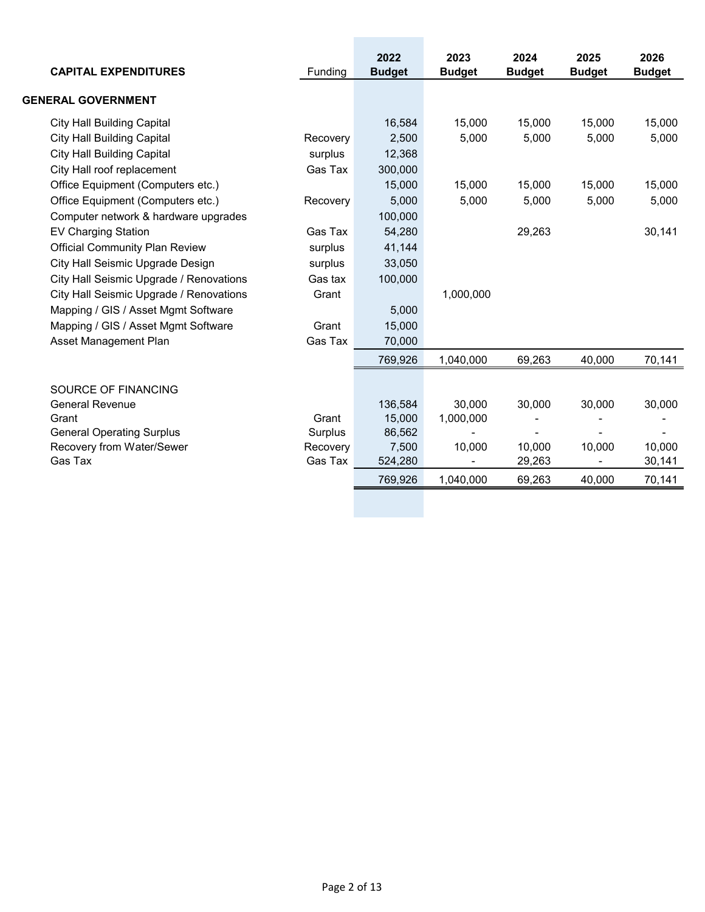| <b>CAPITAL EXPENDITURES</b>             | Funding  | 2022<br><b>Budget</b> | 2023<br><b>Budget</b> | 2024<br><b>Budget</b> | 2025<br><b>Budget</b> | 2026<br><b>Budget</b> |
|-----------------------------------------|----------|-----------------------|-----------------------|-----------------------|-----------------------|-----------------------|
| <b>GENERAL GOVERNMENT</b>               |          |                       |                       |                       |                       |                       |
| <b>City Hall Building Capital</b>       |          | 16,584                | 15,000                | 15,000                | 15,000                | 15,000                |
| <b>City Hall Building Capital</b>       | Recovery | 2,500                 | 5,000                 | 5,000                 | 5,000                 | 5,000                 |
| <b>City Hall Building Capital</b>       | surplus  | 12,368                |                       |                       |                       |                       |
| City Hall roof replacement              | Gas Tax  | 300,000               |                       |                       |                       |                       |
| Office Equipment (Computers etc.)       |          | 15,000                | 15,000                | 15,000                | 15,000                | 15,000                |
| Office Equipment (Computers etc.)       | Recovery | 5,000                 | 5,000                 | 5,000                 | 5,000                 | 5,000                 |
| Computer network & hardware upgrades    |          | 100,000               |                       |                       |                       |                       |
| <b>EV Charging Station</b>              | Gas Tax  | 54,280                |                       | 29,263                |                       | 30,141                |
| <b>Official Community Plan Review</b>   | surplus  | 41,144                |                       |                       |                       |                       |
| City Hall Seismic Upgrade Design        | surplus  | 33,050                |                       |                       |                       |                       |
| City Hall Seismic Upgrade / Renovations | Gas tax  | 100,000               |                       |                       |                       |                       |
| City Hall Seismic Upgrade / Renovations | Grant    |                       | 1,000,000             |                       |                       |                       |
| Mapping / GIS / Asset Mgmt Software     |          | 5,000                 |                       |                       |                       |                       |
| Mapping / GIS / Asset Mgmt Software     | Grant    | 15,000                |                       |                       |                       |                       |
| Asset Management Plan                   | Gas Tax  | 70,000                |                       |                       |                       |                       |
|                                         |          | 769,926               | 1,040,000             | 69,263                | 40,000                | 70,141                |
| SOURCE OF FINANCING                     |          |                       |                       |                       |                       |                       |
| <b>General Revenue</b>                  |          | 136,584               | 30,000                | 30,000                | 30,000                | 30,000                |
| Grant                                   | Grant    | 15,000                | 1,000,000             |                       |                       |                       |
| <b>General Operating Surplus</b>        | Surplus  | 86,562                |                       |                       |                       |                       |
| Recovery from Water/Sewer               | Recovery | 7,500                 | 10,000                | 10,000                | 10,000                | 10,000                |
| Gas Tax                                 | Gas Tax  | 524,280               |                       | 29,263                |                       | 30,141                |
|                                         |          | 769,926               | 1,040,000             | 69,263                | 40.000                | 70,141                |
|                                         |          |                       |                       |                       |                       |                       |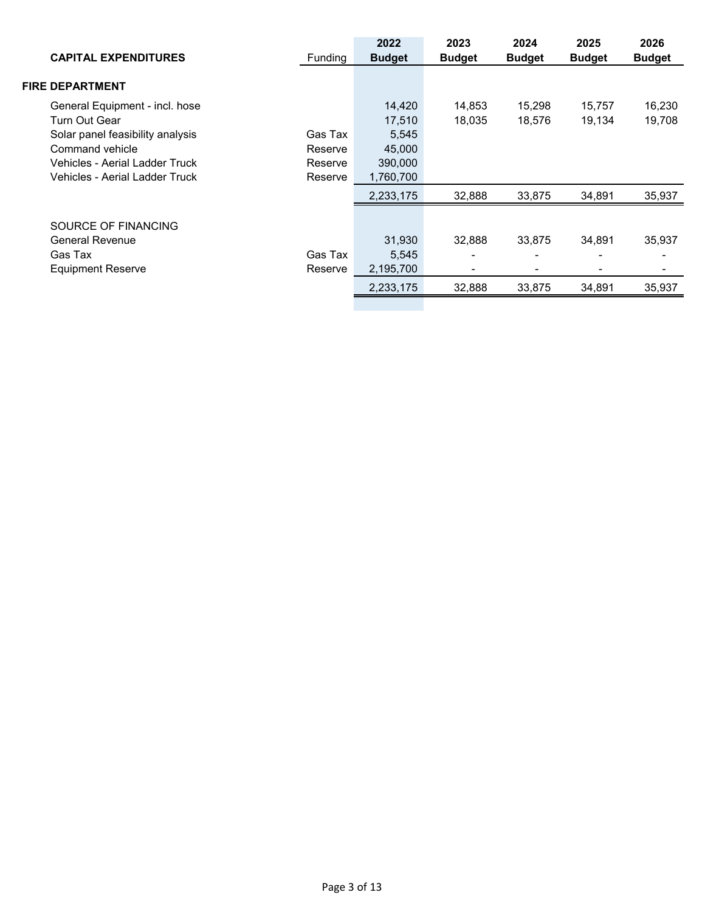| <b>CAPITAL EXPENDITURES</b>                                                                                                                                                | <b>Funding</b>                           | 2022<br><b>Budget</b>                                       | 2023<br><b>Budget</b> | 2024<br><b>Budget</b> | 2025<br><b>Budget</b> | 2026<br><b>Budget</b> |
|----------------------------------------------------------------------------------------------------------------------------------------------------------------------------|------------------------------------------|-------------------------------------------------------------|-----------------------|-----------------------|-----------------------|-----------------------|
| <b>FIRE DEPARTMENT</b>                                                                                                                                                     |                                          |                                                             |                       |                       |                       |                       |
| General Equipment - incl. hose<br>Turn Out Gear<br>Solar panel feasibility analysis<br>Command vehicle<br>Vehicles - Aerial Ladder Truck<br>Vehicles - Aerial Ladder Truck | Gas Tax<br>Reserve<br>Reserve<br>Reserve | 14,420<br>17,510<br>5,545<br>45,000<br>390,000<br>1,760,700 | 14,853<br>18.035      | 15,298<br>18,576      | 15,757<br>19,134      | 16,230<br>19,708      |
| SOURCE OF FINANCING<br><b>General Revenue</b><br>Gas Tax<br><b>Equipment Reserve</b>                                                                                       | Gas Tax<br>Reserve                       | 2,233,175<br>31,930<br>5,545<br>2,195,700                   | 32,888<br>32.888      | 33,875<br>33.875<br>- | 34,891<br>34.891      | 35,937<br>35,937<br>- |
|                                                                                                                                                                            |                                          | 2,233,175                                                   | 32,888                | 33.875                | 34,891                | 35,937                |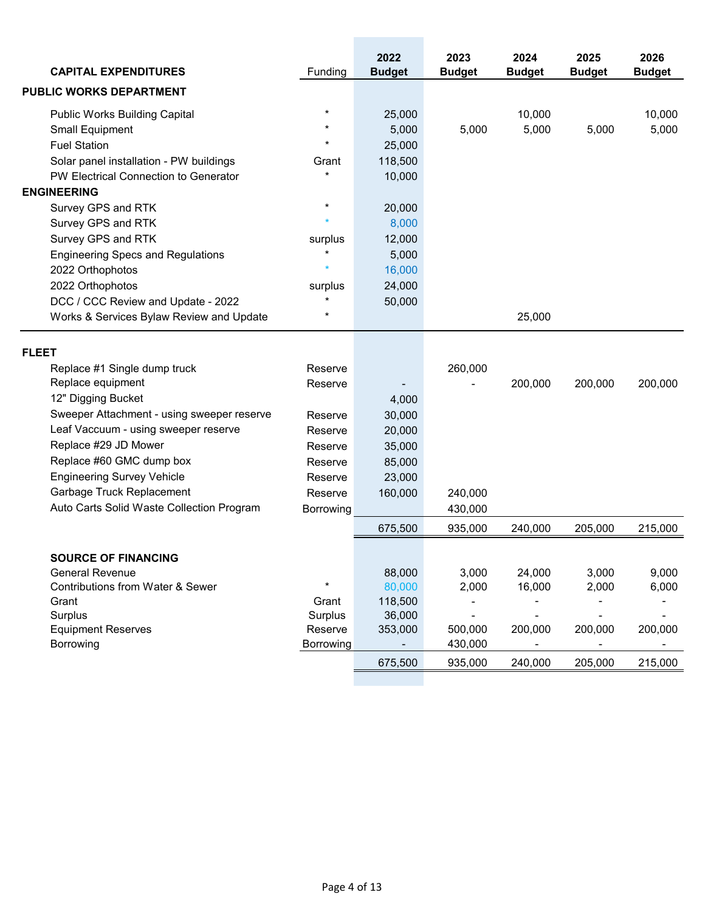| <b>CAPITAL EXPENDITURES</b>                | Funding   | 2022<br><b>Budget</b> | 2023<br><b>Budget</b> | 2024<br><b>Budget</b> | 2025<br><b>Budget</b> | 2026<br><b>Budget</b> |
|--------------------------------------------|-----------|-----------------------|-----------------------|-----------------------|-----------------------|-----------------------|
| <b>PUBLIC WORKS DEPARTMENT</b>             |           |                       |                       |                       |                       |                       |
| <b>Public Works Building Capital</b>       | $\star$   | 25,000                |                       | 10,000                |                       | 10,000                |
| Small Equipment                            | $\star$   | 5,000                 | 5,000                 | 5,000                 | 5,000                 | 5,000                 |
| <b>Fuel Station</b>                        | $\star$   | 25,000                |                       |                       |                       |                       |
| Solar panel installation - PW buildings    | Grant     | 118,500               |                       |                       |                       |                       |
| PW Electrical Connection to Generator      | $\star$   | 10,000                |                       |                       |                       |                       |
| <b>ENGINEERING</b>                         |           |                       |                       |                       |                       |                       |
| Survey GPS and RTK                         | $\star$   | 20,000                |                       |                       |                       |                       |
| Survey GPS and RTK                         |           | 8,000                 |                       |                       |                       |                       |
| Survey GPS and RTK                         | surplus   | 12,000                |                       |                       |                       |                       |
| <b>Engineering Specs and Regulations</b>   | $\star$   | 5,000                 |                       |                       |                       |                       |
| 2022 Orthophotos                           |           | 16,000                |                       |                       |                       |                       |
| 2022 Orthophotos                           | surplus   | 24,000                |                       |                       |                       |                       |
| DCC / CCC Review and Update - 2022         | $\star$   | 50,000                |                       |                       |                       |                       |
| Works & Services Bylaw Review and Update   | $\star$   |                       |                       | 25,000                |                       |                       |
| <b>FLEET</b>                               |           |                       |                       |                       |                       |                       |
| Replace #1 Single dump truck               | Reserve   |                       | 260,000               |                       |                       |                       |
| Replace equipment                          | Reserve   |                       |                       | 200,000               | 200,000               | 200,000               |
| 12" Digging Bucket                         |           | 4,000                 |                       |                       |                       |                       |
| Sweeper Attachment - using sweeper reserve | Reserve   | 30,000                |                       |                       |                       |                       |
| Leaf Vaccuum - using sweeper reserve       | Reserve   | 20,000                |                       |                       |                       |                       |
| Replace #29 JD Mower                       | Reserve   | 35,000                |                       |                       |                       |                       |
| Replace #60 GMC dump box                   | Reserve   | 85,000                |                       |                       |                       |                       |
| <b>Engineering Survey Vehicle</b>          | Reserve   | 23,000                |                       |                       |                       |                       |
| Garbage Truck Replacement                  | Reserve   | 160,000               | 240,000               |                       |                       |                       |
| Auto Carts Solid Waste Collection Program  | Borrowing |                       | 430,000               |                       |                       |                       |
|                                            |           | 675,500               | 935,000               | 240,000               | 205,000               | 215,000               |
| <b>SOURCE OF FINANCING</b>                 |           |                       |                       |                       |                       |                       |
| <b>General Revenue</b>                     |           | 88,000                | 3,000                 | 24,000                | 3,000                 | 9,000                 |
| Contributions from Water & Sewer           |           | 80,000                | 2,000                 | 16,000                | 2,000                 | 6,000                 |
| Grant                                      | Grant     | 118,500               |                       |                       |                       |                       |
| Surplus                                    | Surplus   | 36,000                |                       |                       |                       |                       |
| <b>Equipment Reserves</b>                  | Reserve   | 353,000               | 500,000               | 200,000               | 200,000               | 200,000               |
| Borrowing                                  | Borrowing |                       | 430,000               |                       |                       |                       |
|                                            |           | 675,500               | 935,000               | 240,000               | 205,000               | 215,000               |
|                                            |           |                       |                       |                       |                       |                       |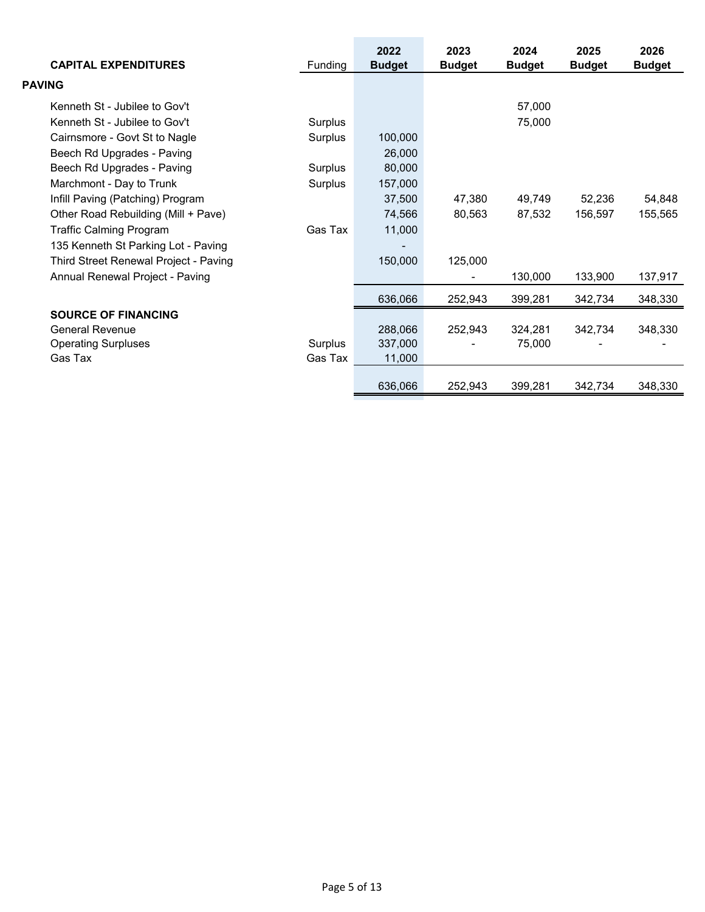| <b>CAPITAL EXPENDITURES</b>           | Funding | 2022<br><b>Budget</b> | 2023<br><b>Budget</b> | 2024<br><b>Budget</b> | 2025<br><b>Budget</b> | 2026<br><b>Budget</b> |
|---------------------------------------|---------|-----------------------|-----------------------|-----------------------|-----------------------|-----------------------|
| <b>PAVING</b>                         |         |                       |                       |                       |                       |                       |
| Kenneth St - Jubilee to Gov't         |         |                       |                       | 57,000                |                       |                       |
| Kenneth St - Jubilee to Gov't         | Surplus |                       |                       | 75,000                |                       |                       |
| Cairnsmore - Govt St to Nagle         | Surplus | 100,000               |                       |                       |                       |                       |
| Beech Rd Upgrades - Paving            |         | 26,000                |                       |                       |                       |                       |
| Beech Rd Upgrades - Paving            | Surplus | 80,000                |                       |                       |                       |                       |
| Marchmont - Day to Trunk              | Surplus | 157,000               |                       |                       |                       |                       |
| Infill Paving (Patching) Program      |         | 37,500                | 47,380                | 49,749                | 52,236                | 54,848                |
| Other Road Rebuilding (Mill + Pave)   |         | 74,566                | 80,563                | 87,532                | 156,597               | 155,565               |
| <b>Traffic Calming Program</b>        | Gas Tax | 11,000                |                       |                       |                       |                       |
| 135 Kenneth St Parking Lot - Paving   |         |                       |                       |                       |                       |                       |
| Third Street Renewal Project - Paving |         | 150,000               | 125,000               |                       |                       |                       |
| Annual Renewal Project - Paving       |         |                       |                       | 130,000               | 133,900               | 137,917               |
|                                       |         | 636,066               | 252,943               | 399,281               | 342,734               | 348,330               |
| <b>SOURCE OF FINANCING</b>            |         |                       |                       |                       |                       |                       |
| <b>General Revenue</b>                |         | 288,066               | 252,943               | 324,281               | 342,734               | 348,330               |
| <b>Operating Surpluses</b>            | Surplus | 337,000               |                       | 75,000                |                       |                       |
| Gas Tax                               | Gas Tax | 11,000                |                       |                       |                       |                       |
|                                       |         | 636,066               | 252,943               | 399,281               | 342,734               | 348,330               |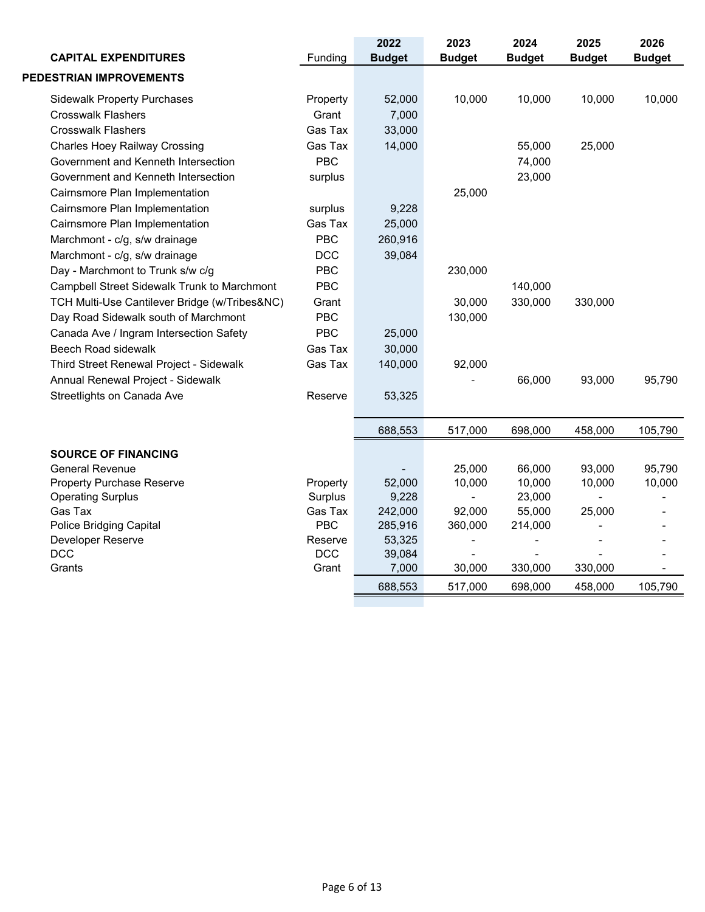| <b>CAPITAL EXPENDITURES</b>                   | Funding    | 2022<br><b>Budget</b> | 2023<br><b>Budget</b> | 2024<br><b>Budget</b> | 2025<br><b>Budget</b> | 2026<br><b>Budget</b> |
|-----------------------------------------------|------------|-----------------------|-----------------------|-----------------------|-----------------------|-----------------------|
| PEDESTRIAN IMPROVEMENTS                       |            |                       |                       |                       |                       |                       |
| <b>Sidewalk Property Purchases</b>            | Property   | 52,000                | 10,000                | 10,000                | 10,000                | 10,000                |
| <b>Crosswalk Flashers</b>                     | Grant      | 7,000                 |                       |                       |                       |                       |
| <b>Crosswalk Flashers</b>                     | Gas Tax    | 33,000                |                       |                       |                       |                       |
| <b>Charles Hoey Railway Crossing</b>          | Gas Tax    | 14,000                |                       | 55,000                | 25,000                |                       |
| Government and Kenneth Intersection           | <b>PBC</b> |                       |                       | 74,000                |                       |                       |
| Government and Kenneth Intersection           | surplus    |                       |                       | 23,000                |                       |                       |
| Cairnsmore Plan Implementation                |            |                       | 25,000                |                       |                       |                       |
| Cairnsmore Plan Implementation                | surplus    | 9,228                 |                       |                       |                       |                       |
| Cairnsmore Plan Implementation                | Gas Tax    | 25,000                |                       |                       |                       |                       |
| Marchmont - c/g, s/w drainage                 | PBC        | 260,916               |                       |                       |                       |                       |
| Marchmont - c/g, s/w drainage                 | <b>DCC</b> | 39,084                |                       |                       |                       |                       |
| Day - Marchmont to Trunk s/w c/g              | <b>PBC</b> |                       | 230,000               |                       |                       |                       |
| Campbell Street Sidewalk Trunk to Marchmont   | <b>PBC</b> |                       |                       | 140,000               |                       |                       |
| TCH Multi-Use Cantilever Bridge (w/Tribes&NC) | Grant      |                       | 30,000                | 330,000               | 330,000               |                       |
| Day Road Sidewalk south of Marchmont          | <b>PBC</b> |                       | 130,000               |                       |                       |                       |
| Canada Ave / Ingram Intersection Safety       | <b>PBC</b> | 25,000                |                       |                       |                       |                       |
| <b>Beech Road sidewalk</b>                    | Gas Tax    | 30,000                |                       |                       |                       |                       |
| Third Street Renewal Project - Sidewalk       | Gas Tax    | 140,000               | 92,000                |                       |                       |                       |
| Annual Renewal Project - Sidewalk             |            |                       |                       | 66,000                | 93,000                | 95,790                |
| Streetlights on Canada Ave                    | Reserve    | 53,325                |                       |                       |                       |                       |
|                                               |            |                       |                       |                       |                       |                       |
|                                               |            | 688,553               | 517,000               | 698,000               | 458,000               | 105,790               |
| <b>SOURCE OF FINANCING</b>                    |            |                       |                       |                       |                       |                       |
| <b>General Revenue</b>                        |            |                       | 25,000                | 66,000                | 93,000                | 95,790                |
| <b>Property Purchase Reserve</b>              | Property   | 52,000                | 10,000                | 10,000                | 10,000                | 10,000                |
| <b>Operating Surplus</b>                      | Surplus    | 9,228                 |                       | 23,000                |                       |                       |
| Gas Tax                                       | Gas Tax    | 242,000               | 92,000                | 55,000                | 25,000                |                       |
| Police Bridging Capital                       | <b>PBC</b> | 285,916               | 360,000               | 214,000               |                       |                       |
| Developer Reserve                             | Reserve    | 53,325                |                       |                       |                       |                       |
| <b>DCC</b>                                    | <b>DCC</b> | 39,084                | $\blacksquare$        | $\overline{a}$        |                       |                       |
| Grants                                        | Grant      | 7,000                 | 30,000                | 330,000               | 330,000               |                       |
|                                               |            | 688,553               | 517,000               | 698,000               | 458,000               | 105,790               |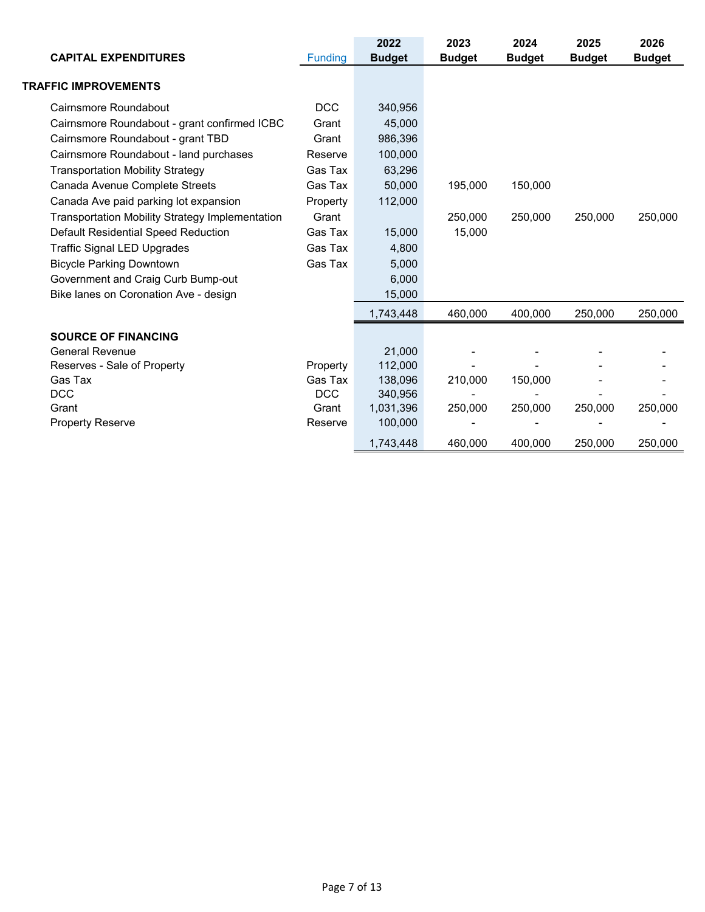| <b>CAPITAL EXPENDITURES</b>                            | <b>Funding</b> | 2022<br><b>Budget</b> | 2023<br><b>Budget</b> | 2024<br><b>Budget</b> | 2025<br><b>Budget</b> | 2026<br><b>Budget</b> |
|--------------------------------------------------------|----------------|-----------------------|-----------------------|-----------------------|-----------------------|-----------------------|
| <b>TRAFFIC IMPROVEMENTS</b>                            |                |                       |                       |                       |                       |                       |
| Cairnsmore Roundabout                                  | <b>DCC</b>     | 340,956               |                       |                       |                       |                       |
| Cairnsmore Roundabout - grant confirmed ICBC           | Grant          | 45,000                |                       |                       |                       |                       |
| Cairnsmore Roundabout - grant TBD                      | Grant          | 986,396               |                       |                       |                       |                       |
| Cairnsmore Roundabout - land purchases                 | Reserve        | 100,000               |                       |                       |                       |                       |
| <b>Transportation Mobility Strategy</b>                | Gas Tax        | 63,296                |                       |                       |                       |                       |
| Canada Avenue Complete Streets                         | Gas Tax        | 50,000                | 195,000               | 150,000               |                       |                       |
| Canada Ave paid parking lot expansion                  | Property       | 112,000               |                       |                       |                       |                       |
| <b>Transportation Mobility Strategy Implementation</b> | Grant          |                       | 250,000               | 250,000               | 250,000               | 250,000               |
| Default Residential Speed Reduction                    | Gas Tax        | 15,000                | 15,000                |                       |                       |                       |
| <b>Traffic Signal LED Upgrades</b>                     | Gas Tax        | 4,800                 |                       |                       |                       |                       |
| <b>Bicycle Parking Downtown</b>                        | Gas Tax        | 5,000                 |                       |                       |                       |                       |
| Government and Craig Curb Bump-out                     |                | 6,000                 |                       |                       |                       |                       |
| Bike lanes on Coronation Ave - design                  |                | 15,000                |                       |                       |                       |                       |
|                                                        |                | 1,743,448             | 460.000               | 400,000               | 250,000               | 250,000               |
| <b>SOURCE OF FINANCING</b>                             |                |                       |                       |                       |                       |                       |
| <b>General Revenue</b>                                 |                | 21,000                |                       |                       |                       |                       |
| Reserves - Sale of Property                            | Property       | 112,000               |                       |                       |                       |                       |
| Gas Tax                                                | Gas Tax        | 138,096               | 210,000               | 150,000               |                       |                       |
| <b>DCC</b>                                             | <b>DCC</b>     | 340,956               |                       |                       |                       |                       |
| Grant                                                  | Grant          | 1,031,396             | 250,000               | 250,000               | 250,000               | 250,000               |
| <b>Property Reserve</b>                                | Reserve        | 100,000               |                       |                       |                       |                       |
|                                                        |                | 1,743,448             | 460,000               | 400,000               | 250,000               | 250,000               |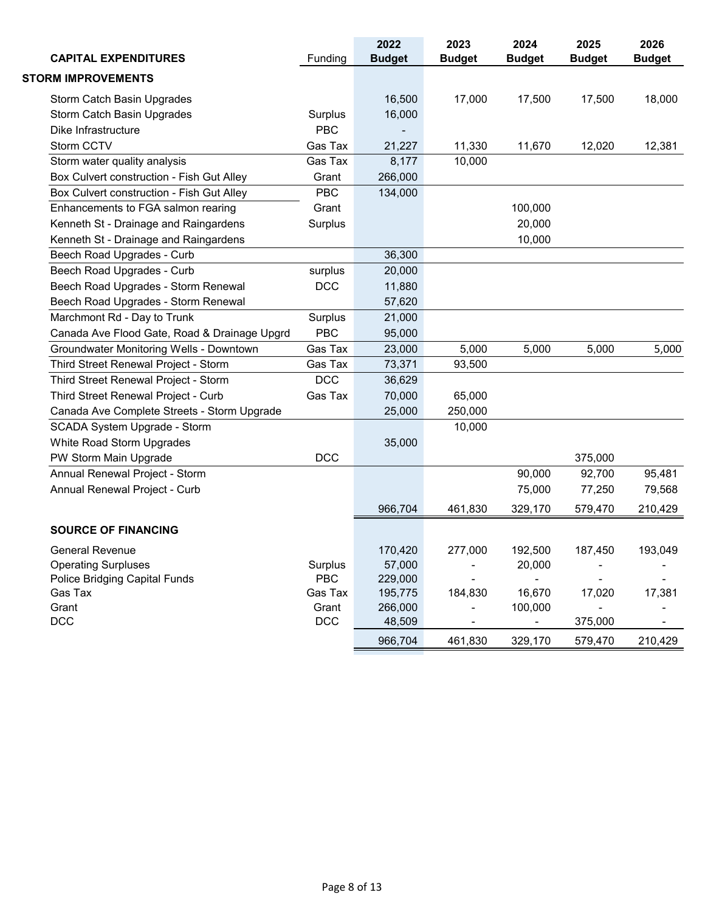| <b>CAPITAL EXPENDITURES</b>                    | Funding    | 2022<br><b>Budget</b> | 2023<br><b>Budget</b> | 2024<br><b>Budget</b>    | 2025<br><b>Budget</b> | 2026<br><b>Budget</b> |
|------------------------------------------------|------------|-----------------------|-----------------------|--------------------------|-----------------------|-----------------------|
| <b>STORM IMPROVEMENTS</b>                      |            |                       |                       |                          |                       |                       |
| Storm Catch Basin Upgrades                     |            | 16,500                | 17,000                | 17,500                   | 17,500                | 18,000                |
| Storm Catch Basin Upgrades                     | Surplus    | 16,000                |                       |                          |                       |                       |
| Dike Infrastructure                            | <b>PBC</b> |                       |                       |                          |                       |                       |
| Storm CCTV                                     | Gas Tax    | 21,227                | 11,330                | 11,670                   | 12,020                | 12,381                |
| Storm water quality analysis                   | Gas Tax    | 8,177                 | 10,000                |                          |                       |                       |
| Box Culvert construction - Fish Gut Alley      | Grant      | 266,000               |                       |                          |                       |                       |
| Box Culvert construction - Fish Gut Alley      | <b>PBC</b> | 134,000               |                       |                          |                       |                       |
| Enhancements to FGA salmon rearing             | Grant      |                       |                       | 100,000                  |                       |                       |
| Kenneth St - Drainage and Raingardens          | Surplus    |                       |                       | 20,000                   |                       |                       |
| Kenneth St - Drainage and Raingardens          |            |                       |                       | 10,000                   |                       |                       |
| Beech Road Upgrades - Curb                     |            | 36,300                |                       |                          |                       |                       |
| Beech Road Upgrades - Curb                     | surplus    | 20,000                |                       |                          |                       |                       |
| Beech Road Upgrades - Storm Renewal            | <b>DCC</b> | 11,880                |                       |                          |                       |                       |
| Beech Road Upgrades - Storm Renewal            |            | 57,620                |                       |                          |                       |                       |
| Marchmont Rd - Day to Trunk                    | Surplus    | 21,000                |                       |                          |                       |                       |
| Canada Ave Flood Gate, Road & Drainage Upgrd   | <b>PBC</b> | 95,000                |                       |                          |                       |                       |
| <b>Groundwater Monitoring Wells - Downtown</b> | Gas Tax    | 23,000                | 5,000                 | 5,000                    | 5,000                 | 5,000                 |
| Third Street Renewal Project - Storm           | Gas Tax    | 73,371                | 93,500                |                          |                       |                       |
| Third Street Renewal Project - Storm           | <b>DCC</b> | 36,629                |                       |                          |                       |                       |
| Third Street Renewal Project - Curb            | Gas Tax    | 70,000                | 65,000                |                          |                       |                       |
| Canada Ave Complete Streets - Storm Upgrade    |            | 25,000                | 250,000               |                          |                       |                       |
| SCADA System Upgrade - Storm                   |            |                       | 10,000                |                          |                       |                       |
| White Road Storm Upgrades                      |            | 35,000                |                       |                          |                       |                       |
| PW Storm Main Upgrade                          | <b>DCC</b> |                       |                       |                          | 375,000               |                       |
| Annual Renewal Project - Storm                 |            |                       |                       | 90,000                   | 92,700                | 95,481                |
| Annual Renewal Project - Curb                  |            |                       |                       | 75,000                   | 77,250                | 79,568                |
|                                                |            | 966,704               | 461,830               | 329,170                  | 579,470               | 210,429               |
| <b>SOURCE OF FINANCING</b>                     |            |                       |                       |                          |                       |                       |
| <b>General Revenue</b>                         |            | 170,420               | 277,000               | 192,500                  | 187,450               | 193,049               |
| <b>Operating Surpluses</b>                     | Surplus    | 57,000                |                       | 20,000                   |                       |                       |
| Police Bridging Capital Funds                  | <b>PBC</b> | 229,000               |                       | $\blacksquare$           |                       |                       |
| Gas Tax                                        | Gas Tax    | 195,775               | 184,830               | 16,670                   | 17,020                | 17,381                |
| Grant                                          | Grant      | 266,000               |                       | 100,000                  |                       |                       |
| <b>DCC</b>                                     | DCC        | 48,509                |                       | $\overline{\phantom{a}}$ | 375,000               |                       |
|                                                |            | 966,704               | 461,830               | 329,170                  | 579,470               | 210,429               |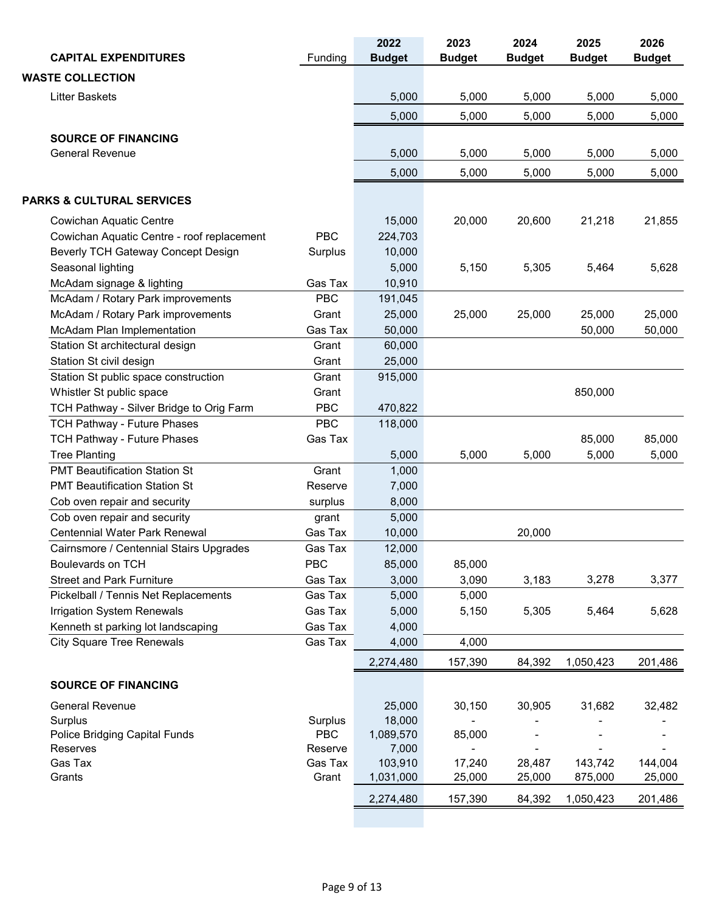| <b>CAPITAL EXPENDITURES</b>                | Funding    | 2022<br><b>Budget</b> | 2023<br><b>Budget</b> | 2024<br><b>Budget</b> | 2025<br><b>Budget</b> | 2026<br><b>Budget</b> |
|--------------------------------------------|------------|-----------------------|-----------------------|-----------------------|-----------------------|-----------------------|
| <b>WASTE COLLECTION</b>                    |            |                       |                       |                       |                       |                       |
| <b>Litter Baskets</b>                      |            | 5,000                 | 5,000                 | 5,000                 | 5,000                 | 5,000                 |
|                                            |            | 5,000                 | 5,000                 | 5,000                 | 5,000                 | 5,000                 |
|                                            |            |                       |                       |                       |                       |                       |
| <b>SOURCE OF FINANCING</b>                 |            |                       |                       |                       |                       |                       |
| <b>General Revenue</b>                     |            | 5,000                 | 5,000                 | 5,000                 | 5,000                 | 5,000                 |
|                                            |            | 5,000                 | 5,000                 | 5,000                 | 5,000                 | 5,000                 |
| <b>PARKS &amp; CULTURAL SERVICES</b>       |            |                       |                       |                       |                       |                       |
| Cowichan Aquatic Centre                    |            | 15,000                | 20,000                | 20,600                | 21,218                | 21,855                |
| Cowichan Aquatic Centre - roof replacement | <b>PBC</b> | 224,703               |                       |                       |                       |                       |
| Beverly TCH Gateway Concept Design         | Surplus    | 10,000                |                       |                       |                       |                       |
| Seasonal lighting                          |            | 5,000                 | 5,150                 | 5,305                 | 5,464                 | 5,628                 |
| McAdam signage & lighting                  | Gas Tax    | 10,910                |                       |                       |                       |                       |
| McAdam / Rotary Park improvements          | PBC        | 191,045               |                       |                       |                       |                       |
| McAdam / Rotary Park improvements          | Grant      | 25,000                | 25,000                | 25,000                | 25,000                | 25,000                |
| McAdam Plan Implementation                 | Gas Tax    | 50,000                |                       |                       | 50,000                | 50,000                |
| Station St architectural design            | Grant      | 60,000                |                       |                       |                       |                       |
| Station St civil design                    | Grant      | 25,000                |                       |                       |                       |                       |
| Station St public space construction       | Grant      | 915,000               |                       |                       |                       |                       |
| Whistler St public space                   | Grant      |                       |                       |                       | 850,000               |                       |
| TCH Pathway - Silver Bridge to Orig Farm   | <b>PBC</b> | 470,822               |                       |                       |                       |                       |
| TCH Pathway - Future Phases                | <b>PBC</b> | 118,000               |                       |                       |                       |                       |
| TCH Pathway - Future Phases                | Gas Tax    |                       |                       |                       | 85,000                | 85,000                |
| <b>Tree Planting</b>                       |            | 5,000                 | 5,000                 | 5,000                 | 5,000                 | 5,000                 |
| <b>PMT Beautification Station St</b>       | Grant      | 1,000                 |                       |                       |                       |                       |
| <b>PMT Beautification Station St</b>       | Reserve    | 7,000                 |                       |                       |                       |                       |
| Cob oven repair and security               | surplus    | 8,000                 |                       |                       |                       |                       |
| Cob oven repair and security               | grant      | 5,000                 |                       |                       |                       |                       |
| <b>Centennial Water Park Renewal</b>       | Gas Tax    | 10,000                |                       | 20,000                |                       |                       |
| Cairnsmore / Centennial Stairs Upgrades    | Gas Tax    | 12,000                |                       |                       |                       |                       |
| Boulevards on TCH                          | <b>PBC</b> | 85,000                | 85,000                |                       |                       |                       |
| <b>Street and Park Furniture</b>           | Gas Tax    | 3,000                 | 3,090                 | 3,183                 | 3,278                 | 3,377                 |
| Pickelball / Tennis Net Replacements       | Gas Tax    | 5,000                 | 5,000                 |                       |                       |                       |
| Irrigation System Renewals                 | Gas Tax    | 5,000                 | 5,150                 | 5,305                 | 5,464                 | 5,628                 |
| Kenneth st parking lot landscaping         | Gas Tax    | 4,000                 |                       |                       |                       |                       |
| <b>City Square Tree Renewals</b>           | Gas Tax    | 4,000                 | 4,000                 |                       |                       |                       |
|                                            |            | 2,274,480             | 157,390               | 84,392                | 1,050,423             | 201,486               |
| <b>SOURCE OF FINANCING</b>                 |            |                       |                       |                       |                       |                       |
| <b>General Revenue</b>                     |            | 25,000                | 30,150                | 30,905                | 31,682                | 32,482                |
| Surplus                                    | Surplus    | 18,000                |                       |                       |                       |                       |
| Police Bridging Capital Funds              | <b>PBC</b> | 1,089,570             | 85,000                |                       |                       |                       |
| Reserves                                   | Reserve    | 7,000                 |                       |                       |                       |                       |
| Gas Tax                                    | Gas Tax    | 103,910               | 17,240                | 28,487                | 143,742               | 144,004               |
| Grants                                     | Grant      | 1,031,000             | 25,000                | 25,000                | 875,000               | 25,000                |
|                                            |            | 2,274,480             | 157,390               | 84,392                | 1,050,423             | 201,486               |
|                                            |            |                       |                       |                       |                       |                       |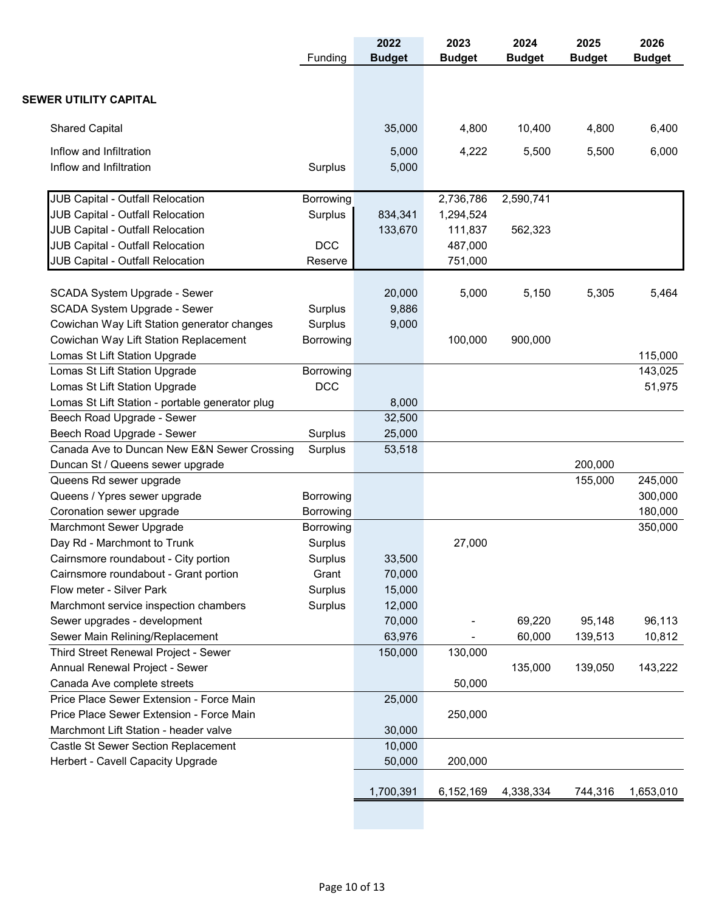|                                                 | Funding    | 2022<br><b>Budget</b> | 2023<br><b>Budget</b> | 2024<br><b>Budget</b> | 2025<br><b>Budget</b> | 2026<br><b>Budget</b> |
|-------------------------------------------------|------------|-----------------------|-----------------------|-----------------------|-----------------------|-----------------------|
|                                                 |            |                       |                       |                       |                       |                       |
| <b>SEWER UTILITY CAPITAL</b>                    |            |                       |                       |                       |                       |                       |
| <b>Shared Capital</b>                           |            | 35,000                | 4,800                 | 10,400                | 4,800                 | 6,400                 |
| Inflow and Infiltration                         |            | 5,000                 | 4,222                 | 5,500                 | 5,500                 | 6,000                 |
| Inflow and Infiltration                         | Surplus    | 5,000                 |                       |                       |                       |                       |
| <b>JUB Capital - Outfall Relocation</b>         | Borrowing  |                       | 2,736,786             | 2,590,741             |                       |                       |
| JUB Capital - Outfall Relocation                | Surplus    | 834,341               | 1,294,524             |                       |                       |                       |
| JUB Capital - Outfall Relocation                |            | 133,670               | 111,837               | 562,323               |                       |                       |
| JUB Capital - Outfall Relocation                | <b>DCC</b> |                       | 487,000               |                       |                       |                       |
| JUB Capital - Outfall Relocation                | Reserve    |                       | 751,000               |                       |                       |                       |
| SCADA System Upgrade - Sewer                    |            | 20,000                | 5,000                 | 5,150                 | 5,305                 | 5,464                 |
| SCADA System Upgrade - Sewer                    | Surplus    | 9,886                 |                       |                       |                       |                       |
| Cowichan Way Lift Station generator changes     | Surplus    | 9,000                 |                       |                       |                       |                       |
| Cowichan Way Lift Station Replacement           | Borrowing  |                       | 100,000               | 900,000               |                       |                       |
| Lomas St Lift Station Upgrade                   |            |                       |                       |                       |                       | 115,000               |
| Lomas St Lift Station Upgrade                   | Borrowing  |                       |                       |                       |                       | 143,025               |
| Lomas St Lift Station Upgrade                   | <b>DCC</b> |                       |                       |                       |                       | 51,975                |
| Lomas St Lift Station - portable generator plug |            | 8,000                 |                       |                       |                       |                       |
| Beech Road Upgrade - Sewer                      |            | 32,500                |                       |                       |                       |                       |
| Beech Road Upgrade - Sewer                      | Surplus    | 25,000                |                       |                       |                       |                       |
| Canada Ave to Duncan New E&N Sewer Crossing     | Surplus    | 53,518                |                       |                       |                       |                       |
| Duncan St / Queens sewer upgrade                |            |                       |                       |                       | 200,000               |                       |
| Queens Rd sewer upgrade                         |            |                       |                       |                       | 155,000               | 245,000               |
| Queens / Ypres sewer upgrade                    | Borrowing  |                       |                       |                       |                       | 300,000               |
| Coronation sewer upgrade                        | Borrowing  |                       |                       |                       |                       | 180,000               |
| Marchmont Sewer Upgrade                         | Borrowing  |                       |                       |                       |                       | 350,000               |
| Day Rd - Marchmont to Trunk                     | Surplus    |                       | 27,000                |                       |                       |                       |
| Cairnsmore roundabout - City portion            | Surplus    | 33,500                |                       |                       |                       |                       |
| Cairnsmore roundabout - Grant portion           | Grant      | 70,000                |                       |                       |                       |                       |
| Flow meter - Silver Park                        | Surplus    | 15,000                |                       |                       |                       |                       |
| Marchmont service inspection chambers           | Surplus    | 12,000                |                       |                       |                       |                       |
| Sewer upgrades - development                    |            | 70,000                |                       | 69,220                | 95,148                | 96,113                |
| Sewer Main Relining/Replacement                 |            | 63,976                |                       | 60,000                | 139,513               | 10,812                |
| Third Street Renewal Project - Sewer            |            | 150,000               | 130,000               |                       |                       |                       |
| Annual Renewal Project - Sewer                  |            |                       |                       | 135,000               | 139,050               | 143,222               |
| Canada Ave complete streets                     |            |                       | 50,000                |                       |                       |                       |
| Price Place Sewer Extension - Force Main        |            | 25,000                |                       |                       |                       |                       |
| Price Place Sewer Extension - Force Main        |            |                       | 250,000               |                       |                       |                       |
| Marchmont Lift Station - header valve           |            | 30,000                |                       |                       |                       |                       |
| Castle St Sewer Section Replacement             |            | 10,000                |                       |                       |                       |                       |
| Herbert - Cavell Capacity Upgrade               |            | 50,000                | 200,000               |                       |                       |                       |
|                                                 |            |                       |                       |                       |                       |                       |
|                                                 |            | 1,700,391             | 6,152,169             | 4,338,334             | 744,316               | 1,653,010             |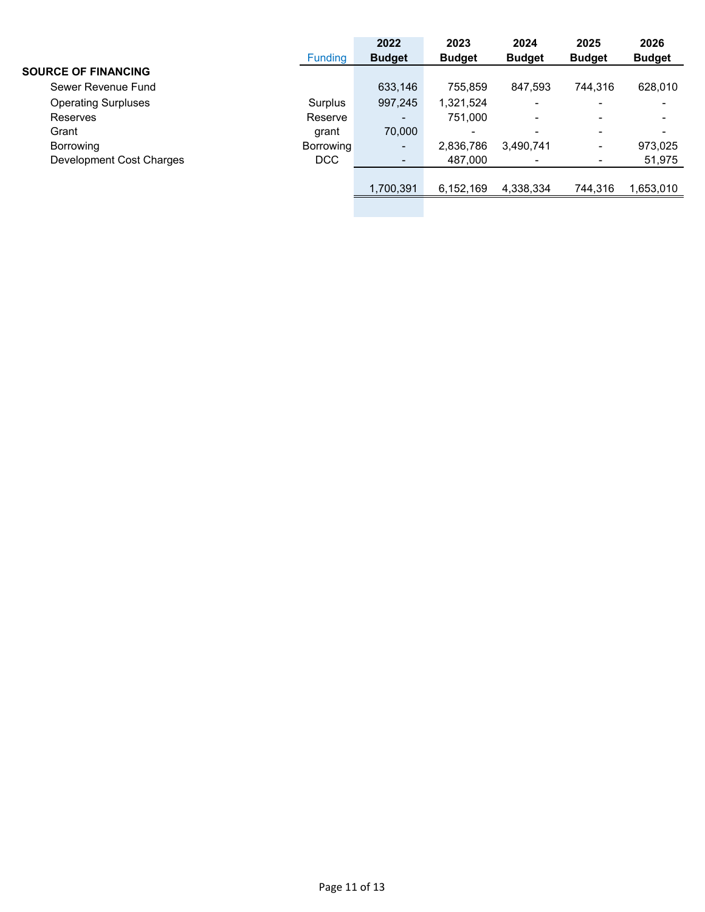|                            |                  | 2022                     | 2023          | 2024          | 2025                     | 2026                     |
|----------------------------|------------------|--------------------------|---------------|---------------|--------------------------|--------------------------|
|                            | <b>Funding</b>   | <b>Budget</b>            | <b>Budget</b> | <b>Budget</b> | <b>Budget</b>            | <b>Budget</b>            |
| <b>SOURCE OF FINANCING</b> |                  |                          |               |               |                          |                          |
| Sewer Revenue Fund         |                  | 633,146                  | 755.859       | 847.593       | 744.316                  | 628,010                  |
| <b>Operating Surpluses</b> | Surplus          | 997,245                  | 1,321,524     | -             | -                        | $\overline{\phantom{0}}$ |
| Reserves                   | Reserve          | $\overline{\phantom{0}}$ | 751,000       |               | $\overline{\phantom{0}}$ |                          |
| Grant                      | grant            | 70,000                   |               | -             | $\overline{\phantom{0}}$ | -                        |
| Borrowing                  | <b>Borrowing</b> | ۰                        | 2,836,786     | 3,490,741     | $\overline{\phantom{0}}$ | 973,025                  |
| Development Cost Charges   | <b>DCC</b>       |                          | 487,000       | -             |                          | 51,975                   |
|                            |                  |                          |               |               |                          |                          |
|                            |                  | 1,700,391                | 6,152,169     | 4,338,334     | 744,316                  | 1,653,010                |
|                            |                  |                          |               |               |                          |                          |
|                            |                  |                          |               |               |                          |                          |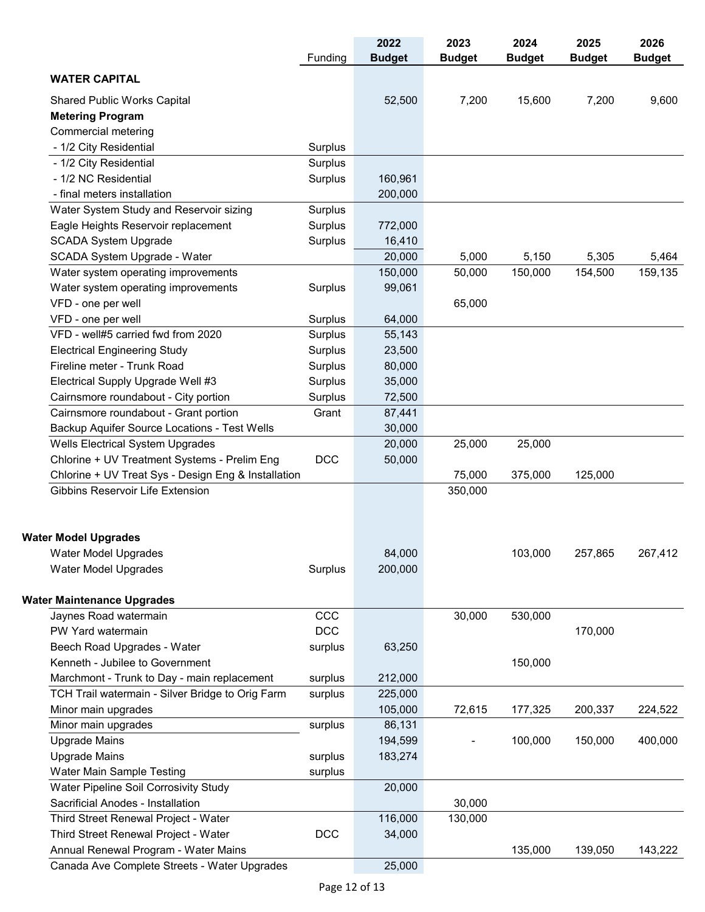| <b>WATER CAPITAL</b><br>15,600<br>7,200<br>52,500<br>7,200<br>9,600<br><b>Shared Public Works Capital</b><br><b>Metering Program</b><br>Commercial metering<br>- 1/2 City Residential<br>Surplus<br>- 1/2 City Residential<br>Surplus<br>- 1/2 NC Residential<br>Surplus<br>160,961<br>- final meters installation<br>200,000<br>Water System Study and Reservoir sizing<br>Surplus<br>Eagle Heights Reservoir replacement<br>Surplus<br>772,000<br><b>SCADA System Upgrade</b><br>Surplus<br>16,410<br>SCADA System Upgrade - Water<br>20,000<br>5,000<br>5,150<br>5,305<br>5,464<br>159,135<br>Water system operating improvements<br>150,000<br>150,000<br>154,500<br>50,000<br>Water system operating improvements<br>Surplus<br>99,061<br>VFD - one per well<br>65,000<br>VFD - one per well<br>Surplus<br>64,000<br>VFD - well#5 carried fwd from 2020<br>Surplus<br>55,143<br><b>Electrical Engineering Study</b><br>Surplus<br>23,500<br>Fireline meter - Trunk Road<br>80,000<br>Surplus<br>Electrical Supply Upgrade Well #3<br>Surplus<br>35,000<br>Cairnsmore roundabout - City portion<br>72,500<br>Surplus<br>Cairnsmore roundabout - Grant portion<br>Grant<br>87,441<br>Backup Aquifer Source Locations - Test Wells<br>30,000<br>Wells Electrical System Upgrades<br>20,000<br>25,000<br>25,000<br>Chlorine + UV Treatment Systems - Prelim Eng<br><b>DCC</b><br>50,000<br>Chlorine + UV Treat Sys - Design Eng & Installation<br>75,000<br>125,000<br>375,000<br>350,000<br>Gibbins Reservoir Life Extension<br>84,000<br>103,000<br>257,865<br>267,412<br><b>Water Model Upgrades</b><br>200,000<br>Water Model Upgrades<br>Surplus<br>CCC<br>Jaynes Road watermain<br>30,000<br>530,000<br>DCC<br>PW Yard watermain<br>170,000<br>Beech Road Upgrades - Water<br>surplus<br>63,250<br>Kenneth - Jubilee to Government<br>150,000<br>Marchmont - Trunk to Day - main replacement<br>212,000<br>surplus<br>TCH Trail watermain - Silver Bridge to Orig Farm<br>225,000<br>surplus<br>Minor main upgrades<br>105,000<br>72,615<br>177,325<br>200,337<br>224,522<br>Minor main upgrades<br>86,131<br>surplus<br><b>Upgrade Mains</b><br>194,599<br>400,000<br>100,000<br>150,000<br><b>Upgrade Mains</b><br>183,274<br>surplus<br>Water Main Sample Testing<br>surplus<br>Water Pipeline Soil Corrosivity Study<br>20,000<br>Sacrificial Anodes - Installation<br>30,000<br>Third Street Renewal Project - Water<br>116,000<br>130,000<br>Third Street Renewal Project - Water<br><b>DCC</b><br>34,000<br>Annual Renewal Program - Water Mains<br>135,000<br>139,050<br>143,222<br>Canada Ave Complete Streets - Water Upgrades<br>25,000 |                                   | Funding | 2022<br><b>Budget</b> | 2023<br><b>Budget</b> | 2024<br><b>Budget</b> | 2025<br><b>Budget</b> | 2026<br><b>Budget</b> |
|-----------------------------------------------------------------------------------------------------------------------------------------------------------------------------------------------------------------------------------------------------------------------------------------------------------------------------------------------------------------------------------------------------------------------------------------------------------------------------------------------------------------------------------------------------------------------------------------------------------------------------------------------------------------------------------------------------------------------------------------------------------------------------------------------------------------------------------------------------------------------------------------------------------------------------------------------------------------------------------------------------------------------------------------------------------------------------------------------------------------------------------------------------------------------------------------------------------------------------------------------------------------------------------------------------------------------------------------------------------------------------------------------------------------------------------------------------------------------------------------------------------------------------------------------------------------------------------------------------------------------------------------------------------------------------------------------------------------------------------------------------------------------------------------------------------------------------------------------------------------------------------------------------------------------------------------------------------------------------------------------------------------------------------------------------------------------------------------------------------------------------------------------------------------------------------------------------------------------------------------------------------------------------------------------------------------------------------------------------------------------------------------------------------------------------------------------------------------------------------------------------------------------------------------------------------------------------------------------------------------------------------------------------------|-----------------------------------|---------|-----------------------|-----------------------|-----------------------|-----------------------|-----------------------|
|                                                                                                                                                                                                                                                                                                                                                                                                                                                                                                                                                                                                                                                                                                                                                                                                                                                                                                                                                                                                                                                                                                                                                                                                                                                                                                                                                                                                                                                                                                                                                                                                                                                                                                                                                                                                                                                                                                                                                                                                                                                                                                                                                                                                                                                                                                                                                                                                                                                                                                                                                                                                                                                           |                                   |         |                       |                       |                       |                       |                       |
|                                                                                                                                                                                                                                                                                                                                                                                                                                                                                                                                                                                                                                                                                                                                                                                                                                                                                                                                                                                                                                                                                                                                                                                                                                                                                                                                                                                                                                                                                                                                                                                                                                                                                                                                                                                                                                                                                                                                                                                                                                                                                                                                                                                                                                                                                                                                                                                                                                                                                                                                                                                                                                                           |                                   |         |                       |                       |                       |                       |                       |
|                                                                                                                                                                                                                                                                                                                                                                                                                                                                                                                                                                                                                                                                                                                                                                                                                                                                                                                                                                                                                                                                                                                                                                                                                                                                                                                                                                                                                                                                                                                                                                                                                                                                                                                                                                                                                                                                                                                                                                                                                                                                                                                                                                                                                                                                                                                                                                                                                                                                                                                                                                                                                                                           |                                   |         |                       |                       |                       |                       |                       |
|                                                                                                                                                                                                                                                                                                                                                                                                                                                                                                                                                                                                                                                                                                                                                                                                                                                                                                                                                                                                                                                                                                                                                                                                                                                                                                                                                                                                                                                                                                                                                                                                                                                                                                                                                                                                                                                                                                                                                                                                                                                                                                                                                                                                                                                                                                                                                                                                                                                                                                                                                                                                                                                           |                                   |         |                       |                       |                       |                       |                       |
|                                                                                                                                                                                                                                                                                                                                                                                                                                                                                                                                                                                                                                                                                                                                                                                                                                                                                                                                                                                                                                                                                                                                                                                                                                                                                                                                                                                                                                                                                                                                                                                                                                                                                                                                                                                                                                                                                                                                                                                                                                                                                                                                                                                                                                                                                                                                                                                                                                                                                                                                                                                                                                                           |                                   |         |                       |                       |                       |                       |                       |
|                                                                                                                                                                                                                                                                                                                                                                                                                                                                                                                                                                                                                                                                                                                                                                                                                                                                                                                                                                                                                                                                                                                                                                                                                                                                                                                                                                                                                                                                                                                                                                                                                                                                                                                                                                                                                                                                                                                                                                                                                                                                                                                                                                                                                                                                                                                                                                                                                                                                                                                                                                                                                                                           |                                   |         |                       |                       |                       |                       |                       |
|                                                                                                                                                                                                                                                                                                                                                                                                                                                                                                                                                                                                                                                                                                                                                                                                                                                                                                                                                                                                                                                                                                                                                                                                                                                                                                                                                                                                                                                                                                                                                                                                                                                                                                                                                                                                                                                                                                                                                                                                                                                                                                                                                                                                                                                                                                                                                                                                                                                                                                                                                                                                                                                           |                                   |         |                       |                       |                       |                       |                       |
|                                                                                                                                                                                                                                                                                                                                                                                                                                                                                                                                                                                                                                                                                                                                                                                                                                                                                                                                                                                                                                                                                                                                                                                                                                                                                                                                                                                                                                                                                                                                                                                                                                                                                                                                                                                                                                                                                                                                                                                                                                                                                                                                                                                                                                                                                                                                                                                                                                                                                                                                                                                                                                                           |                                   |         |                       |                       |                       |                       |                       |
|                                                                                                                                                                                                                                                                                                                                                                                                                                                                                                                                                                                                                                                                                                                                                                                                                                                                                                                                                                                                                                                                                                                                                                                                                                                                                                                                                                                                                                                                                                                                                                                                                                                                                                                                                                                                                                                                                                                                                                                                                                                                                                                                                                                                                                                                                                                                                                                                                                                                                                                                                                                                                                                           |                                   |         |                       |                       |                       |                       |                       |
|                                                                                                                                                                                                                                                                                                                                                                                                                                                                                                                                                                                                                                                                                                                                                                                                                                                                                                                                                                                                                                                                                                                                                                                                                                                                                                                                                                                                                                                                                                                                                                                                                                                                                                                                                                                                                                                                                                                                                                                                                                                                                                                                                                                                                                                                                                                                                                                                                                                                                                                                                                                                                                                           |                                   |         |                       |                       |                       |                       |                       |
|                                                                                                                                                                                                                                                                                                                                                                                                                                                                                                                                                                                                                                                                                                                                                                                                                                                                                                                                                                                                                                                                                                                                                                                                                                                                                                                                                                                                                                                                                                                                                                                                                                                                                                                                                                                                                                                                                                                                                                                                                                                                                                                                                                                                                                                                                                                                                                                                                                                                                                                                                                                                                                                           |                                   |         |                       |                       |                       |                       |                       |
|                                                                                                                                                                                                                                                                                                                                                                                                                                                                                                                                                                                                                                                                                                                                                                                                                                                                                                                                                                                                                                                                                                                                                                                                                                                                                                                                                                                                                                                                                                                                                                                                                                                                                                                                                                                                                                                                                                                                                                                                                                                                                                                                                                                                                                                                                                                                                                                                                                                                                                                                                                                                                                                           |                                   |         |                       |                       |                       |                       |                       |
|                                                                                                                                                                                                                                                                                                                                                                                                                                                                                                                                                                                                                                                                                                                                                                                                                                                                                                                                                                                                                                                                                                                                                                                                                                                                                                                                                                                                                                                                                                                                                                                                                                                                                                                                                                                                                                                                                                                                                                                                                                                                                                                                                                                                                                                                                                                                                                                                                                                                                                                                                                                                                                                           |                                   |         |                       |                       |                       |                       |                       |
|                                                                                                                                                                                                                                                                                                                                                                                                                                                                                                                                                                                                                                                                                                                                                                                                                                                                                                                                                                                                                                                                                                                                                                                                                                                                                                                                                                                                                                                                                                                                                                                                                                                                                                                                                                                                                                                                                                                                                                                                                                                                                                                                                                                                                                                                                                                                                                                                                                                                                                                                                                                                                                                           |                                   |         |                       |                       |                       |                       |                       |
|                                                                                                                                                                                                                                                                                                                                                                                                                                                                                                                                                                                                                                                                                                                                                                                                                                                                                                                                                                                                                                                                                                                                                                                                                                                                                                                                                                                                                                                                                                                                                                                                                                                                                                                                                                                                                                                                                                                                                                                                                                                                                                                                                                                                                                                                                                                                                                                                                                                                                                                                                                                                                                                           |                                   |         |                       |                       |                       |                       |                       |
|                                                                                                                                                                                                                                                                                                                                                                                                                                                                                                                                                                                                                                                                                                                                                                                                                                                                                                                                                                                                                                                                                                                                                                                                                                                                                                                                                                                                                                                                                                                                                                                                                                                                                                                                                                                                                                                                                                                                                                                                                                                                                                                                                                                                                                                                                                                                                                                                                                                                                                                                                                                                                                                           |                                   |         |                       |                       |                       |                       |                       |
|                                                                                                                                                                                                                                                                                                                                                                                                                                                                                                                                                                                                                                                                                                                                                                                                                                                                                                                                                                                                                                                                                                                                                                                                                                                                                                                                                                                                                                                                                                                                                                                                                                                                                                                                                                                                                                                                                                                                                                                                                                                                                                                                                                                                                                                                                                                                                                                                                                                                                                                                                                                                                                                           |                                   |         |                       |                       |                       |                       |                       |
|                                                                                                                                                                                                                                                                                                                                                                                                                                                                                                                                                                                                                                                                                                                                                                                                                                                                                                                                                                                                                                                                                                                                                                                                                                                                                                                                                                                                                                                                                                                                                                                                                                                                                                                                                                                                                                                                                                                                                                                                                                                                                                                                                                                                                                                                                                                                                                                                                                                                                                                                                                                                                                                           |                                   |         |                       |                       |                       |                       |                       |
|                                                                                                                                                                                                                                                                                                                                                                                                                                                                                                                                                                                                                                                                                                                                                                                                                                                                                                                                                                                                                                                                                                                                                                                                                                                                                                                                                                                                                                                                                                                                                                                                                                                                                                                                                                                                                                                                                                                                                                                                                                                                                                                                                                                                                                                                                                                                                                                                                                                                                                                                                                                                                                                           |                                   |         |                       |                       |                       |                       |                       |
|                                                                                                                                                                                                                                                                                                                                                                                                                                                                                                                                                                                                                                                                                                                                                                                                                                                                                                                                                                                                                                                                                                                                                                                                                                                                                                                                                                                                                                                                                                                                                                                                                                                                                                                                                                                                                                                                                                                                                                                                                                                                                                                                                                                                                                                                                                                                                                                                                                                                                                                                                                                                                                                           |                                   |         |                       |                       |                       |                       |                       |
|                                                                                                                                                                                                                                                                                                                                                                                                                                                                                                                                                                                                                                                                                                                                                                                                                                                                                                                                                                                                                                                                                                                                                                                                                                                                                                                                                                                                                                                                                                                                                                                                                                                                                                                                                                                                                                                                                                                                                                                                                                                                                                                                                                                                                                                                                                                                                                                                                                                                                                                                                                                                                                                           |                                   |         |                       |                       |                       |                       |                       |
|                                                                                                                                                                                                                                                                                                                                                                                                                                                                                                                                                                                                                                                                                                                                                                                                                                                                                                                                                                                                                                                                                                                                                                                                                                                                                                                                                                                                                                                                                                                                                                                                                                                                                                                                                                                                                                                                                                                                                                                                                                                                                                                                                                                                                                                                                                                                                                                                                                                                                                                                                                                                                                                           |                                   |         |                       |                       |                       |                       |                       |
|                                                                                                                                                                                                                                                                                                                                                                                                                                                                                                                                                                                                                                                                                                                                                                                                                                                                                                                                                                                                                                                                                                                                                                                                                                                                                                                                                                                                                                                                                                                                                                                                                                                                                                                                                                                                                                                                                                                                                                                                                                                                                                                                                                                                                                                                                                                                                                                                                                                                                                                                                                                                                                                           |                                   |         |                       |                       |                       |                       |                       |
|                                                                                                                                                                                                                                                                                                                                                                                                                                                                                                                                                                                                                                                                                                                                                                                                                                                                                                                                                                                                                                                                                                                                                                                                                                                                                                                                                                                                                                                                                                                                                                                                                                                                                                                                                                                                                                                                                                                                                                                                                                                                                                                                                                                                                                                                                                                                                                                                                                                                                                                                                                                                                                                           |                                   |         |                       |                       |                       |                       |                       |
|                                                                                                                                                                                                                                                                                                                                                                                                                                                                                                                                                                                                                                                                                                                                                                                                                                                                                                                                                                                                                                                                                                                                                                                                                                                                                                                                                                                                                                                                                                                                                                                                                                                                                                                                                                                                                                                                                                                                                                                                                                                                                                                                                                                                                                                                                                                                                                                                                                                                                                                                                                                                                                                           |                                   |         |                       |                       |                       |                       |                       |
|                                                                                                                                                                                                                                                                                                                                                                                                                                                                                                                                                                                                                                                                                                                                                                                                                                                                                                                                                                                                                                                                                                                                                                                                                                                                                                                                                                                                                                                                                                                                                                                                                                                                                                                                                                                                                                                                                                                                                                                                                                                                                                                                                                                                                                                                                                                                                                                                                                                                                                                                                                                                                                                           |                                   |         |                       |                       |                       |                       |                       |
|                                                                                                                                                                                                                                                                                                                                                                                                                                                                                                                                                                                                                                                                                                                                                                                                                                                                                                                                                                                                                                                                                                                                                                                                                                                                                                                                                                                                                                                                                                                                                                                                                                                                                                                                                                                                                                                                                                                                                                                                                                                                                                                                                                                                                                                                                                                                                                                                                                                                                                                                                                                                                                                           |                                   |         |                       |                       |                       |                       |                       |
|                                                                                                                                                                                                                                                                                                                                                                                                                                                                                                                                                                                                                                                                                                                                                                                                                                                                                                                                                                                                                                                                                                                                                                                                                                                                                                                                                                                                                                                                                                                                                                                                                                                                                                                                                                                                                                                                                                                                                                                                                                                                                                                                                                                                                                                                                                                                                                                                                                                                                                                                                                                                                                                           |                                   |         |                       |                       |                       |                       |                       |
|                                                                                                                                                                                                                                                                                                                                                                                                                                                                                                                                                                                                                                                                                                                                                                                                                                                                                                                                                                                                                                                                                                                                                                                                                                                                                                                                                                                                                                                                                                                                                                                                                                                                                                                                                                                                                                                                                                                                                                                                                                                                                                                                                                                                                                                                                                                                                                                                                                                                                                                                                                                                                                                           | <b>Water Model Upgrades</b>       |         |                       |                       |                       |                       |                       |
|                                                                                                                                                                                                                                                                                                                                                                                                                                                                                                                                                                                                                                                                                                                                                                                                                                                                                                                                                                                                                                                                                                                                                                                                                                                                                                                                                                                                                                                                                                                                                                                                                                                                                                                                                                                                                                                                                                                                                                                                                                                                                                                                                                                                                                                                                                                                                                                                                                                                                                                                                                                                                                                           |                                   |         |                       |                       |                       |                       |                       |
|                                                                                                                                                                                                                                                                                                                                                                                                                                                                                                                                                                                                                                                                                                                                                                                                                                                                                                                                                                                                                                                                                                                                                                                                                                                                                                                                                                                                                                                                                                                                                                                                                                                                                                                                                                                                                                                                                                                                                                                                                                                                                                                                                                                                                                                                                                                                                                                                                                                                                                                                                                                                                                                           |                                   |         |                       |                       |                       |                       |                       |
|                                                                                                                                                                                                                                                                                                                                                                                                                                                                                                                                                                                                                                                                                                                                                                                                                                                                                                                                                                                                                                                                                                                                                                                                                                                                                                                                                                                                                                                                                                                                                                                                                                                                                                                                                                                                                                                                                                                                                                                                                                                                                                                                                                                                                                                                                                                                                                                                                                                                                                                                                                                                                                                           | <b>Water Maintenance Upgrades</b> |         |                       |                       |                       |                       |                       |
|                                                                                                                                                                                                                                                                                                                                                                                                                                                                                                                                                                                                                                                                                                                                                                                                                                                                                                                                                                                                                                                                                                                                                                                                                                                                                                                                                                                                                                                                                                                                                                                                                                                                                                                                                                                                                                                                                                                                                                                                                                                                                                                                                                                                                                                                                                                                                                                                                                                                                                                                                                                                                                                           |                                   |         |                       |                       |                       |                       |                       |
|                                                                                                                                                                                                                                                                                                                                                                                                                                                                                                                                                                                                                                                                                                                                                                                                                                                                                                                                                                                                                                                                                                                                                                                                                                                                                                                                                                                                                                                                                                                                                                                                                                                                                                                                                                                                                                                                                                                                                                                                                                                                                                                                                                                                                                                                                                                                                                                                                                                                                                                                                                                                                                                           |                                   |         |                       |                       |                       |                       |                       |
|                                                                                                                                                                                                                                                                                                                                                                                                                                                                                                                                                                                                                                                                                                                                                                                                                                                                                                                                                                                                                                                                                                                                                                                                                                                                                                                                                                                                                                                                                                                                                                                                                                                                                                                                                                                                                                                                                                                                                                                                                                                                                                                                                                                                                                                                                                                                                                                                                                                                                                                                                                                                                                                           |                                   |         |                       |                       |                       |                       |                       |
|                                                                                                                                                                                                                                                                                                                                                                                                                                                                                                                                                                                                                                                                                                                                                                                                                                                                                                                                                                                                                                                                                                                                                                                                                                                                                                                                                                                                                                                                                                                                                                                                                                                                                                                                                                                                                                                                                                                                                                                                                                                                                                                                                                                                                                                                                                                                                                                                                                                                                                                                                                                                                                                           |                                   |         |                       |                       |                       |                       |                       |
|                                                                                                                                                                                                                                                                                                                                                                                                                                                                                                                                                                                                                                                                                                                                                                                                                                                                                                                                                                                                                                                                                                                                                                                                                                                                                                                                                                                                                                                                                                                                                                                                                                                                                                                                                                                                                                                                                                                                                                                                                                                                                                                                                                                                                                                                                                                                                                                                                                                                                                                                                                                                                                                           |                                   |         |                       |                       |                       |                       |                       |
|                                                                                                                                                                                                                                                                                                                                                                                                                                                                                                                                                                                                                                                                                                                                                                                                                                                                                                                                                                                                                                                                                                                                                                                                                                                                                                                                                                                                                                                                                                                                                                                                                                                                                                                                                                                                                                                                                                                                                                                                                                                                                                                                                                                                                                                                                                                                                                                                                                                                                                                                                                                                                                                           |                                   |         |                       |                       |                       |                       |                       |
|                                                                                                                                                                                                                                                                                                                                                                                                                                                                                                                                                                                                                                                                                                                                                                                                                                                                                                                                                                                                                                                                                                                                                                                                                                                                                                                                                                                                                                                                                                                                                                                                                                                                                                                                                                                                                                                                                                                                                                                                                                                                                                                                                                                                                                                                                                                                                                                                                                                                                                                                                                                                                                                           |                                   |         |                       |                       |                       |                       |                       |
|                                                                                                                                                                                                                                                                                                                                                                                                                                                                                                                                                                                                                                                                                                                                                                                                                                                                                                                                                                                                                                                                                                                                                                                                                                                                                                                                                                                                                                                                                                                                                                                                                                                                                                                                                                                                                                                                                                                                                                                                                                                                                                                                                                                                                                                                                                                                                                                                                                                                                                                                                                                                                                                           |                                   |         |                       |                       |                       |                       |                       |
|                                                                                                                                                                                                                                                                                                                                                                                                                                                                                                                                                                                                                                                                                                                                                                                                                                                                                                                                                                                                                                                                                                                                                                                                                                                                                                                                                                                                                                                                                                                                                                                                                                                                                                                                                                                                                                                                                                                                                                                                                                                                                                                                                                                                                                                                                                                                                                                                                                                                                                                                                                                                                                                           |                                   |         |                       |                       |                       |                       |                       |
|                                                                                                                                                                                                                                                                                                                                                                                                                                                                                                                                                                                                                                                                                                                                                                                                                                                                                                                                                                                                                                                                                                                                                                                                                                                                                                                                                                                                                                                                                                                                                                                                                                                                                                                                                                                                                                                                                                                                                                                                                                                                                                                                                                                                                                                                                                                                                                                                                                                                                                                                                                                                                                                           |                                   |         |                       |                       |                       |                       |                       |
|                                                                                                                                                                                                                                                                                                                                                                                                                                                                                                                                                                                                                                                                                                                                                                                                                                                                                                                                                                                                                                                                                                                                                                                                                                                                                                                                                                                                                                                                                                                                                                                                                                                                                                                                                                                                                                                                                                                                                                                                                                                                                                                                                                                                                                                                                                                                                                                                                                                                                                                                                                                                                                                           |                                   |         |                       |                       |                       |                       |                       |
|                                                                                                                                                                                                                                                                                                                                                                                                                                                                                                                                                                                                                                                                                                                                                                                                                                                                                                                                                                                                                                                                                                                                                                                                                                                                                                                                                                                                                                                                                                                                                                                                                                                                                                                                                                                                                                                                                                                                                                                                                                                                                                                                                                                                                                                                                                                                                                                                                                                                                                                                                                                                                                                           |                                   |         |                       |                       |                       |                       |                       |
|                                                                                                                                                                                                                                                                                                                                                                                                                                                                                                                                                                                                                                                                                                                                                                                                                                                                                                                                                                                                                                                                                                                                                                                                                                                                                                                                                                                                                                                                                                                                                                                                                                                                                                                                                                                                                                                                                                                                                                                                                                                                                                                                                                                                                                                                                                                                                                                                                                                                                                                                                                                                                                                           |                                   |         |                       |                       |                       |                       |                       |
|                                                                                                                                                                                                                                                                                                                                                                                                                                                                                                                                                                                                                                                                                                                                                                                                                                                                                                                                                                                                                                                                                                                                                                                                                                                                                                                                                                                                                                                                                                                                                                                                                                                                                                                                                                                                                                                                                                                                                                                                                                                                                                                                                                                                                                                                                                                                                                                                                                                                                                                                                                                                                                                           |                                   |         |                       |                       |                       |                       |                       |
|                                                                                                                                                                                                                                                                                                                                                                                                                                                                                                                                                                                                                                                                                                                                                                                                                                                                                                                                                                                                                                                                                                                                                                                                                                                                                                                                                                                                                                                                                                                                                                                                                                                                                                                                                                                                                                                                                                                                                                                                                                                                                                                                                                                                                                                                                                                                                                                                                                                                                                                                                                                                                                                           |                                   |         |                       |                       |                       |                       |                       |
|                                                                                                                                                                                                                                                                                                                                                                                                                                                                                                                                                                                                                                                                                                                                                                                                                                                                                                                                                                                                                                                                                                                                                                                                                                                                                                                                                                                                                                                                                                                                                                                                                                                                                                                                                                                                                                                                                                                                                                                                                                                                                                                                                                                                                                                                                                                                                                                                                                                                                                                                                                                                                                                           |                                   |         |                       |                       |                       |                       |                       |
|                                                                                                                                                                                                                                                                                                                                                                                                                                                                                                                                                                                                                                                                                                                                                                                                                                                                                                                                                                                                                                                                                                                                                                                                                                                                                                                                                                                                                                                                                                                                                                                                                                                                                                                                                                                                                                                                                                                                                                                                                                                                                                                                                                                                                                                                                                                                                                                                                                                                                                                                                                                                                                                           |                                   |         |                       |                       |                       |                       |                       |